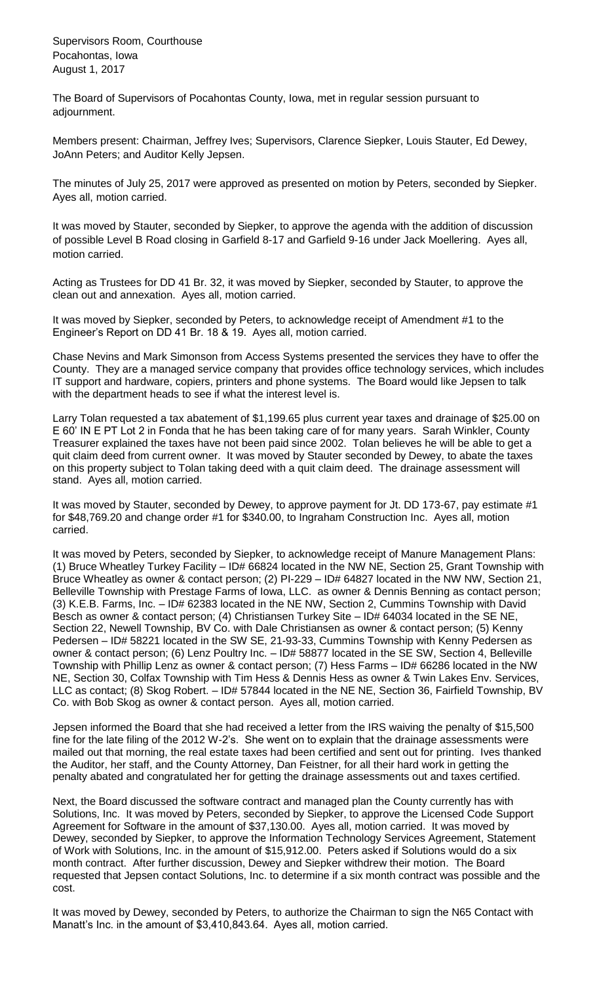Supervisors Room, Courthouse Pocahontas, Iowa August 1, 2017

The Board of Supervisors of Pocahontas County, Iowa, met in regular session pursuant to adjournment.

Members present: Chairman, Jeffrey Ives; Supervisors, Clarence Siepker, Louis Stauter, Ed Dewey, JoAnn Peters; and Auditor Kelly Jepsen.

The minutes of July 25, 2017 were approved as presented on motion by Peters, seconded by Siepker. Ayes all, motion carried.

It was moved by Stauter, seconded by Siepker, to approve the agenda with the addition of discussion of possible Level B Road closing in Garfield 8-17 and Garfield 9-16 under Jack Moellering. Ayes all, motion carried.

Acting as Trustees for DD 41 Br. 32, it was moved by Siepker, seconded by Stauter, to approve the clean out and annexation. Ayes all, motion carried.

It was moved by Siepker, seconded by Peters, to acknowledge receipt of Amendment #1 to the Engineer's Report on DD 41 Br. 18 & 19. Ayes all, motion carried.

Chase Nevins and Mark Simonson from Access Systems presented the services they have to offer the County. They are a managed service company that provides office technology services, which includes IT support and hardware, copiers, printers and phone systems. The Board would like Jepsen to talk with the department heads to see if what the interest level is.

Larry Tolan requested a tax abatement of \$1,199.65 plus current year taxes and drainage of \$25.00 on E 60' IN E PT Lot 2 in Fonda that he has been taking care of for many years. Sarah Winkler, County Treasurer explained the taxes have not been paid since 2002. Tolan believes he will be able to get a quit claim deed from current owner. It was moved by Stauter seconded by Dewey, to abate the taxes on this property subject to Tolan taking deed with a quit claim deed. The drainage assessment will stand. Ayes all, motion carried.

It was moved by Stauter, seconded by Dewey, to approve payment for Jt. DD 173-67, pay estimate #1 for \$48,769.20 and change order #1 for \$340.00, to Ingraham Construction Inc. Ayes all, motion carried.

It was moved by Peters, seconded by Siepker, to acknowledge receipt of Manure Management Plans: (1) Bruce Wheatley Turkey Facility – ID# 66824 located in the NW NE, Section 25, Grant Township with Bruce Wheatley as owner & contact person; (2) PI-229 – ID# 64827 located in the NW NW, Section 21, Belleville Township with Prestage Farms of Iowa, LLC. as owner & Dennis Benning as contact person; (3) K.E.B. Farms, Inc. – ID# 62383 located in the NE NW, Section 2, Cummins Township with David Besch as owner & contact person; (4) Christiansen Turkey Site – ID# 64034 located in the SE NE, Section 22, Newell Township, BV Co. with Dale Christiansen as owner & contact person; (5) Kenny Pedersen – ID# 58221 located in the SW SE, 21-93-33, Cummins Township with Kenny Pedersen as owner & contact person; (6) Lenz Poultry Inc. – ID# 58877 located in the SE SW, Section 4, Belleville Township with Phillip Lenz as owner & contact person; (7) Hess Farms – ID# 66286 located in the NW NE, Section 30, Colfax Township with Tim Hess & Dennis Hess as owner & Twin Lakes Env. Services, LLC as contact; (8) Skog Robert. – ID# 57844 located in the NE NE, Section 36, Fairfield Township, BV Co. with Bob Skog as owner & contact person. Ayes all, motion carried.

Jepsen informed the Board that she had received a letter from the IRS waiving the penalty of \$15,500 fine for the late filing of the 2012 W-2's. She went on to explain that the drainage assessments were mailed out that morning, the real estate taxes had been certified and sent out for printing. Ives thanked the Auditor, her staff, and the County Attorney, Dan Feistner, for all their hard work in getting the penalty abated and congratulated her for getting the drainage assessments out and taxes certified.

Next, the Board discussed the software contract and managed plan the County currently has with Solutions, Inc. It was moved by Peters, seconded by Siepker, to approve the Licensed Code Support Agreement for Software in the amount of \$37,130.00. Ayes all, motion carried. It was moved by Dewey, seconded by Siepker, to approve the Information Technology Services Agreement, Statement of Work with Solutions, Inc. in the amount of \$15,912.00. Peters asked if Solutions would do a six month contract. After further discussion, Dewey and Siepker withdrew their motion. The Board requested that Jepsen contact Solutions, Inc. to determine if a six month contract was possible and the cost.

It was moved by Dewey, seconded by Peters, to authorize the Chairman to sign the N65 Contact with Manatt's Inc. in the amount of \$3,410,843.64. Ayes all, motion carried.